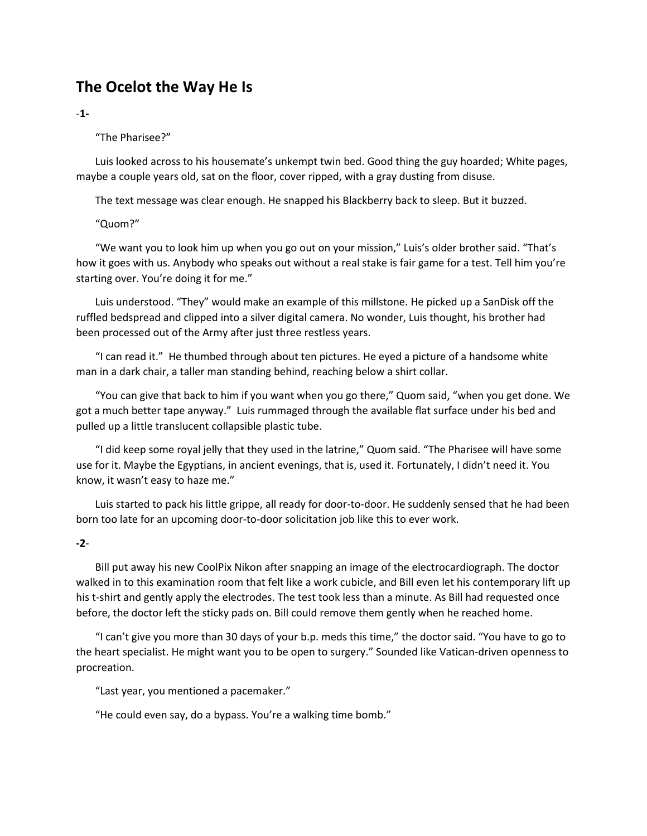# **The Ocelot the Way He Is**

### -**1-**

# "The Pharisee?"

Luis looked across to his housemate's unkempt twin bed. Good thing the guy hoarded; White pages, maybe a couple years old, sat on the floor, cover ripped, with a gray dusting from disuse.

The text message was clear enough. He snapped his Blackberry back to sleep. But it buzzed.

# "Quom?"

"We want you to look him up when you go out on your mission," Luis's older brother said. "That's how it goes with us. Anybody who speaks out without a real stake is fair game for a test. Tell him you're starting over. You're doing it for me."

Luis understood. "They" would make an example of this millstone. He picked up a SanDisk off the ruffled bedspread and clipped into a silver digital camera. No wonder, Luis thought, his brother had been processed out of the Army after just three restless years.

"I can read it." He thumbed through about ten pictures. He eyed a picture of a handsome white man in a dark chair, a taller man standing behind, reaching below a shirt collar.

"You can give that back to him if you want when you go there," Quom said, "when you get done. We got a much better tape anyway." Luis rummaged through the available flat surface under his bed and pulled up a little translucent collapsible plastic tube.

"I did keep some royal jelly that they used in the latrine," Quom said. "The Pharisee will have some use for it. Maybe the Egyptians, in ancient evenings, that is, used it. Fortunately, I didn't need it. You know, it wasn't easy to haze me."

Luis started to pack his little grippe, all ready for door-to-door. He suddenly sensed that he had been born too late for an upcoming door-to-door solicitation job like this to ever work.

# **-2**-

Bill put away his new CoolPix Nikon after snapping an image of the electrocardiograph. The doctor walked in to this examination room that felt like a work cubicle, and Bill even let his contemporary lift up his t-shirt and gently apply the electrodes. The test took less than a minute. As Bill had requested once before, the doctor left the sticky pads on. Bill could remove them gently when he reached home.

"I can't give you more than 30 days of your b.p. meds this time," the doctor said. "You have to go to the heart specialist. He might want you to be open to surgery." Sounded like Vatican-driven openness to procreation.

"Last year, you mentioned a pacemaker."

"He could even say, do a bypass. You're a walking time bomb."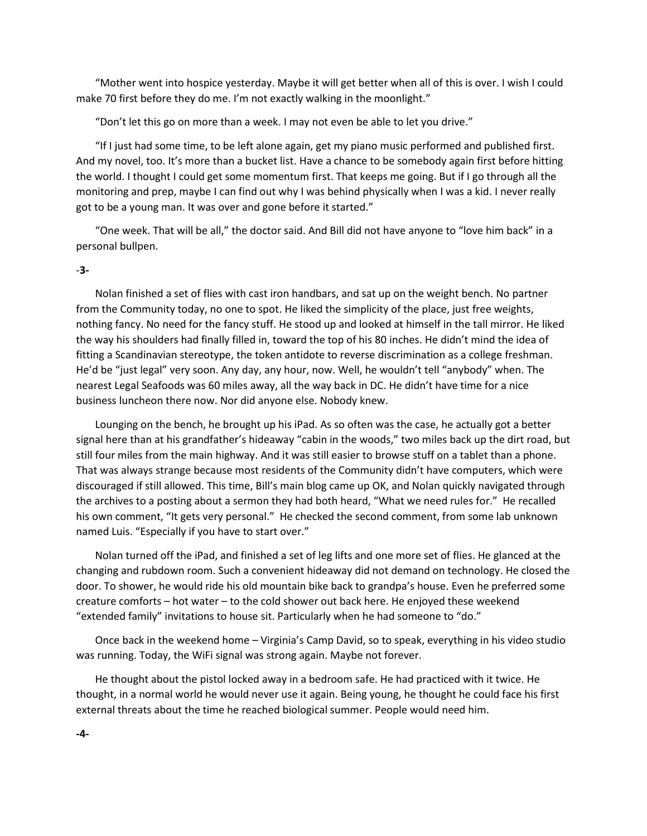"Mother went into hospice yesterday. Maybe it will get better when all of this is over. I wish I could make 70 first before they do me. I'm not exactly walking in the moonlight."

"Don't let this go on more than a week. I may not even be able to let you drive."

"If I just had some time, to be left alone again, get my piano music performed and published first. And my novel, too. It's more than a bucket list. Have a chance to be somebody again first before hitting the world. I thought I could get some momentum first. That keeps me going. But if I go through all the monitoring and prep, maybe I can find out why I was behind physically when I was a kid. I never really got to be a young man. It was over and gone before it started."

"One week. That will be all," the doctor said. And Bill did not have anyone to "love him back" in a personal bullpen.

#### -**3-**

Nolan finished a set of flies with cast iron handbars, and sat up on the weight bench. No partner from the Community today, no one to spot. He liked the simplicity of the place, just free weights, nothing fancy. No need for the fancy stuff. He stood up and looked at himself in the tall mirror. He liked the way his shoulders had finally filled in, toward the top of his 80 inches. He didn't mind the idea of fitting a Scandinavian stereotype, the token antidote to reverse discrimination as a college freshman. He'd be "just legal" very soon. Any day, any hour, now. Well, he wouldn't tell "anybody" when. The nearest Legal Seafoods was 60 miles away, all the way back in DC. He didn't have time for a nice business luncheon there now. Nor did anyone else. Nobody knew.

Lounging on the bench, he brought up his iPad. As so often was the case, he actually got a better signal here than at his grandfather's hideaway "cabin in the woods," two miles back up the dirt road, but still four miles from the main highway. And it was still easier to browse stuff on a tablet than a phone. That was always strange because most residents of the Community didn't have computers, which were discouraged if still allowed. This time, Bill's main blog came up OK, and Nolan quickly navigated through the archives to a posting about a sermon they had both heard, "What we need rules for." He recalled his own comment, "It gets very personal." He checked the second comment, from some lab unknown named Luis. "Especially if you have to start over."

Nolan turned off the iPad, and finished a set of leg lifts and one more set of flies. He glanced at the changing and rubdown room. Such a convenient hideaway did not demand on technology. He closed the door. To shower, he would ride his old mountain bike back to grandpa's house. Even he preferred some creature comforts – hot water – to the cold shower out back here. He enjoyed these weekend "extended family" invitations to house sit. Particularly when he had someone to "do."

Once back in the weekend home – Virginia's Camp David, so to speak, everything in his video studio was running. Today, the WiFi signal was strong again. Maybe not forever.

He thought about the pistol locked away in a bedroom safe. He had practiced with it twice. He thought, in a normal world he would never use it again. Being young, he thought he could face his first external threats about the time he reached biological summer. People would need him.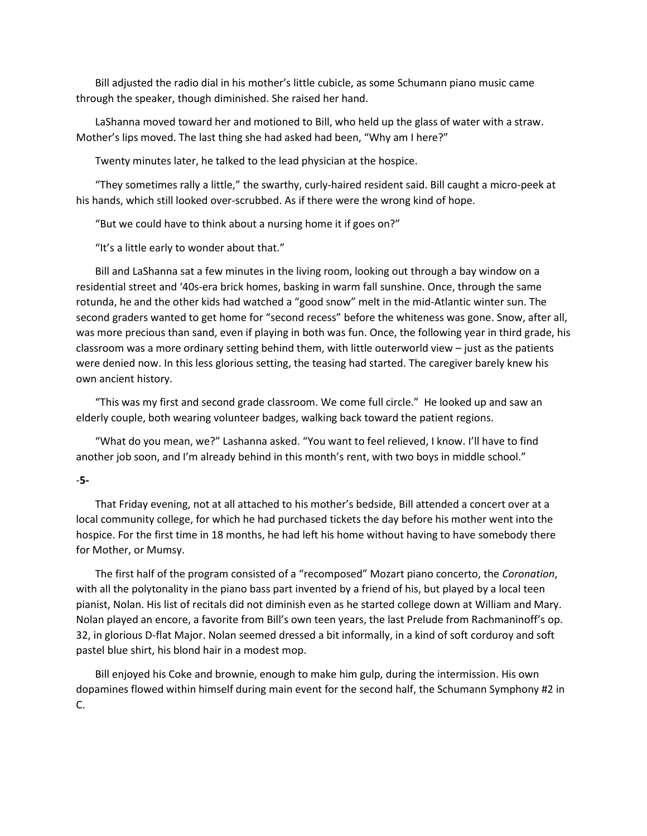Bill adjusted the radio dial in his mother's little cubicle, as some Schumann piano music came through the speaker, though diminished. She raised her hand.

LaShanna moved toward her and motioned to Bill, who held up the glass of water with a straw. Mother's lips moved. The last thing she had asked had been, "Why am I here?"

Twenty minutes later, he talked to the lead physician at the hospice.

"They sometimes rally a little," the swarthy, curly-haired resident said. Bill caught a micro-peek at his hands, which still looked over-scrubbed. As if there were the wrong kind of hope.

"But we could have to think about a nursing home it if goes on?"

"It's a little early to wonder about that."

Bill and LaShanna sat a few minutes in the living room, looking out through a bay window on a residential street and '40s-era brick homes, basking in warm fall sunshine. Once, through the same rotunda, he and the other kids had watched a "good snow" melt in the mid-Atlantic winter sun. The second graders wanted to get home for "second recess" before the whiteness was gone. Snow, after all, was more precious than sand, even if playing in both was fun. Once, the following year in third grade, his classroom was a more ordinary setting behind them, with little outerworld view – just as the patients were denied now. In this less glorious setting, the teasing had started. The caregiver barely knew his own ancient history.

"This was my first and second grade classroom. We come full circle." He looked up and saw an elderly couple, both wearing volunteer badges, walking back toward the patient regions.

"What do you mean, we?" Lashanna asked. "You want to feel relieved, I know. I'll have to find another job soon, and I'm already behind in this month's rent, with two boys in middle school."

#### -**5-**

That Friday evening, not at all attached to his mother's bedside, Bill attended a concert over at a local community college, for which he had purchased tickets the day before his mother went into the hospice. For the first time in 18 months, he had left his home without having to have somebody there for Mother, or Mumsy.

The first half of the program consisted of a "recomposed" Mozart piano concerto, the *Coronation*, with all the polytonality in the piano bass part invented by a friend of his, but played by a local teen pianist, Nolan. His list of recitals did not diminish even as he started college down at William and Mary. Nolan played an encore, a favorite from Bill's own teen years, the last Prelude from Rachmaninoff's op. 32, in glorious D-flat Major. Nolan seemed dressed a bit informally, in a kind of soft corduroy and soft pastel blue shirt, his blond hair in a modest mop.

Bill enjoyed his Coke and brownie, enough to make him gulp, during the intermission. His own dopamines flowed within himself during main event for the second half, the Schumann Symphony #2 in C.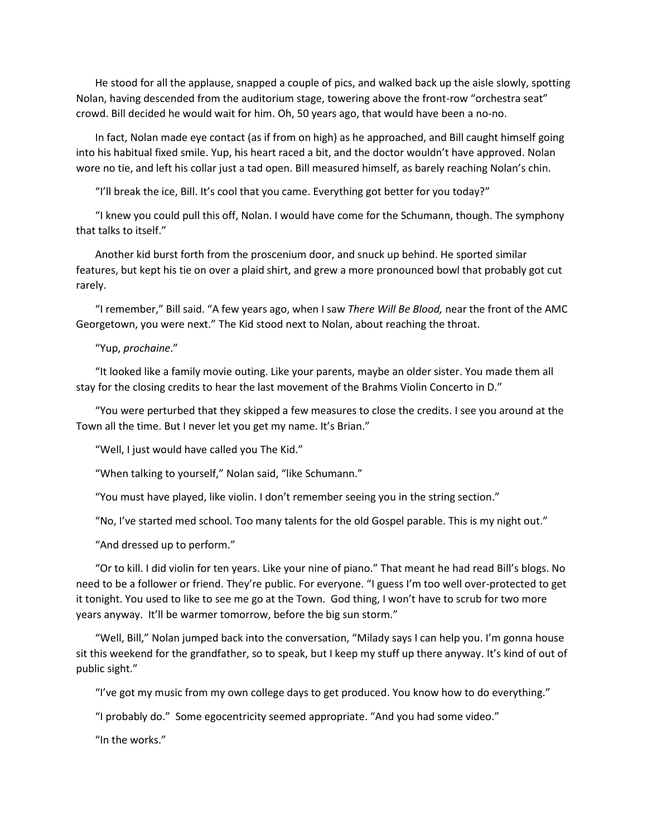He stood for all the applause, snapped a couple of pics, and walked back up the aisle slowly, spotting Nolan, having descended from the auditorium stage, towering above the front-row "orchestra seat" crowd. Bill decided he would wait for him. Oh, 50 years ago, that would have been a no-no.

In fact, Nolan made eye contact (as if from on high) as he approached, and Bill caught himself going into his habitual fixed smile. Yup, his heart raced a bit, and the doctor wouldn't have approved. Nolan wore no tie, and left his collar just a tad open. Bill measured himself, as barely reaching Nolan's chin.

"I'll break the ice, Bill. It's cool that you came. Everything got better for you today?"

"I knew you could pull this off, Nolan. I would have come for the Schumann, though. The symphony that talks to itself."

Another kid burst forth from the proscenium door, and snuck up behind. He sported similar features, but kept his tie on over a plaid shirt, and grew a more pronounced bowl that probably got cut rarely.

"I remember," Bill said. "A few years ago, when I saw *There Will Be Blood,* near the front of the AMC Georgetown, you were next." The Kid stood next to Nolan, about reaching the throat.

### "Yup, *prochaine*."

"It looked like a family movie outing. Like your parents, maybe an older sister. You made them all stay for the closing credits to hear the last movement of the Brahms Violin Concerto in D."

"You were perturbed that they skipped a few measures to close the credits. I see you around at the Town all the time. But I never let you get my name. It's Brian."

"Well, I just would have called you The Kid."

"When talking to yourself," Nolan said, "like Schumann."

"You must have played, like violin. I don't remember seeing you in the string section."

"No, I've started med school. Too many talents for the old Gospel parable. This is my night out."

"And dressed up to perform."

"Or to kill. I did violin for ten years. Like your nine of piano." That meant he had read Bill's blogs. No need to be a follower or friend. They're public. For everyone. "I guess I'm too well over-protected to get it tonight. You used to like to see me go at the Town. God thing, I won't have to scrub for two more years anyway. It'll be warmer tomorrow, before the big sun storm."

"Well, Bill," Nolan jumped back into the conversation, "Milady says I can help you. I'm gonna house sit this weekend for the grandfather, so to speak, but I keep my stuff up there anyway. It's kind of out of public sight."

"I've got my music from my own college days to get produced. You know how to do everything."

"I probably do." Some egocentricity seemed appropriate. "And you had some video."

"In the works."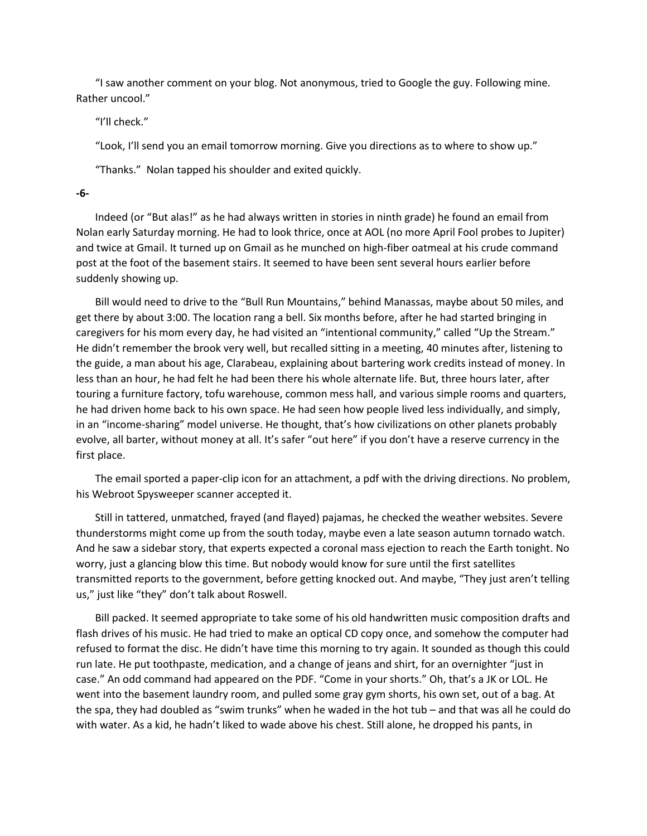"I saw another comment on your blog. Not anonymous, tried to Google the guy. Following mine. Rather uncool."

"I'll check."

"Look, I'll send you an email tomorrow morning. Give you directions as to where to show up."

"Thanks." Nolan tapped his shoulder and exited quickly.

**-6-**

Indeed (or "But alas!" as he had always written in stories in ninth grade) he found an email from Nolan early Saturday morning. He had to look thrice, once at AOL (no more April Fool probes to Jupiter) and twice at Gmail. It turned up on Gmail as he munched on high-fiber oatmeal at his crude command post at the foot of the basement stairs. It seemed to have been sent several hours earlier before suddenly showing up.

Bill would need to drive to the "Bull Run Mountains," behind Manassas, maybe about 50 miles, and get there by about 3:00. The location rang a bell. Six months before, after he had started bringing in caregivers for his mom every day, he had visited an "intentional community," called "Up the Stream." He didn't remember the brook very well, but recalled sitting in a meeting, 40 minutes after, listening to the guide, a man about his age, Clarabeau, explaining about bartering work credits instead of money. In less than an hour, he had felt he had been there his whole alternate life. But, three hours later, after touring a furniture factory, tofu warehouse, common mess hall, and various simple rooms and quarters, he had driven home back to his own space. He had seen how people lived less individually, and simply, in an "income-sharing" model universe. He thought, that's how civilizations on other planets probably evolve, all barter, without money at all. It's safer "out here" if you don't have a reserve currency in the first place.

The email sported a paper-clip icon for an attachment, a pdf with the driving directions. No problem, his Webroot Spysweeper scanner accepted it.

Still in tattered, unmatched, frayed (and flayed) pajamas, he checked the weather websites. Severe thunderstorms might come up from the south today, maybe even a late season autumn tornado watch. And he saw a sidebar story, that experts expected a coronal mass ejection to reach the Earth tonight. No worry, just a glancing blow this time. But nobody would know for sure until the first satellites transmitted reports to the government, before getting knocked out. And maybe, "They just aren't telling us," just like "they" don't talk about Roswell.

Bill packed. It seemed appropriate to take some of his old handwritten music composition drafts and flash drives of his music. He had tried to make an optical CD copy once, and somehow the computer had refused to format the disc. He didn't have time this morning to try again. It sounded as though this could run late. He put toothpaste, medication, and a change of jeans and shirt, for an overnighter "just in case." An odd command had appeared on the PDF. "Come in your shorts." Oh, that's a JK or LOL. He went into the basement laundry room, and pulled some gray gym shorts, his own set, out of a bag. At the spa, they had doubled as "swim trunks" when he waded in the hot tub – and that was all he could do with water. As a kid, he hadn't liked to wade above his chest. Still alone, he dropped his pants, in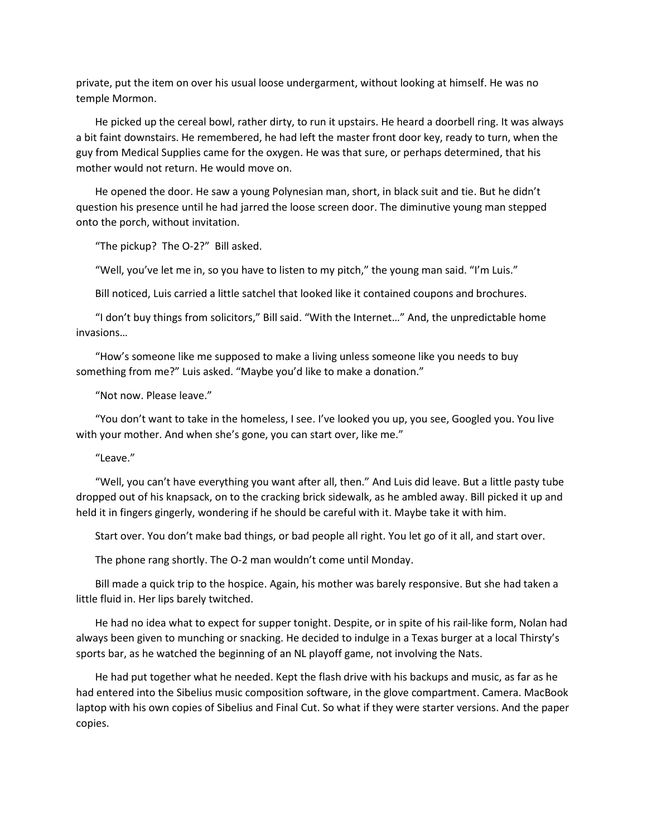private, put the item on over his usual loose undergarment, without looking at himself. He was no temple Mormon.

He picked up the cereal bowl, rather dirty, to run it upstairs. He heard a doorbell ring. It was always a bit faint downstairs. He remembered, he had left the master front door key, ready to turn, when the guy from Medical Supplies came for the oxygen. He was that sure, or perhaps determined, that his mother would not return. He would move on.

He opened the door. He saw a young Polynesian man, short, in black suit and tie. But he didn't question his presence until he had jarred the loose screen door. The diminutive young man stepped onto the porch, without invitation.

"The pickup? The O-2?" Bill asked.

"Well, you've let me in, so you have to listen to my pitch," the young man said. "I'm Luis."

Bill noticed, Luis carried a little satchel that looked like it contained coupons and brochures.

"I don't buy things from solicitors," Bill said. "With the Internet…" And, the unpredictable home invasions…

"How's someone like me supposed to make a living unless someone like you needs to buy something from me?" Luis asked. "Maybe you'd like to make a donation."

"Not now. Please leave."

"You don't want to take in the homeless, I see. I've looked you up, you see, Googled you. You live with your mother. And when she's gone, you can start over, like me."

"Leave."

"Well, you can't have everything you want after all, then." And Luis did leave. But a little pasty tube dropped out of his knapsack, on to the cracking brick sidewalk, as he ambled away. Bill picked it up and held it in fingers gingerly, wondering if he should be careful with it. Maybe take it with him.

Start over. You don't make bad things, or bad people all right. You let go of it all, and start over.

The phone rang shortly. The O-2 man wouldn't come until Monday.

Bill made a quick trip to the hospice. Again, his mother was barely responsive. But she had taken a little fluid in. Her lips barely twitched.

He had no idea what to expect for supper tonight. Despite, or in spite of his rail-like form, Nolan had always been given to munching or snacking. He decided to indulge in a Texas burger at a local Thirsty's sports bar, as he watched the beginning of an NL playoff game, not involving the Nats.

He had put together what he needed. Kept the flash drive with his backups and music, as far as he had entered into the Sibelius music composition software, in the glove compartment. Camera. MacBook laptop with his own copies of Sibelius and Final Cut. So what if they were starter versions. And the paper copies.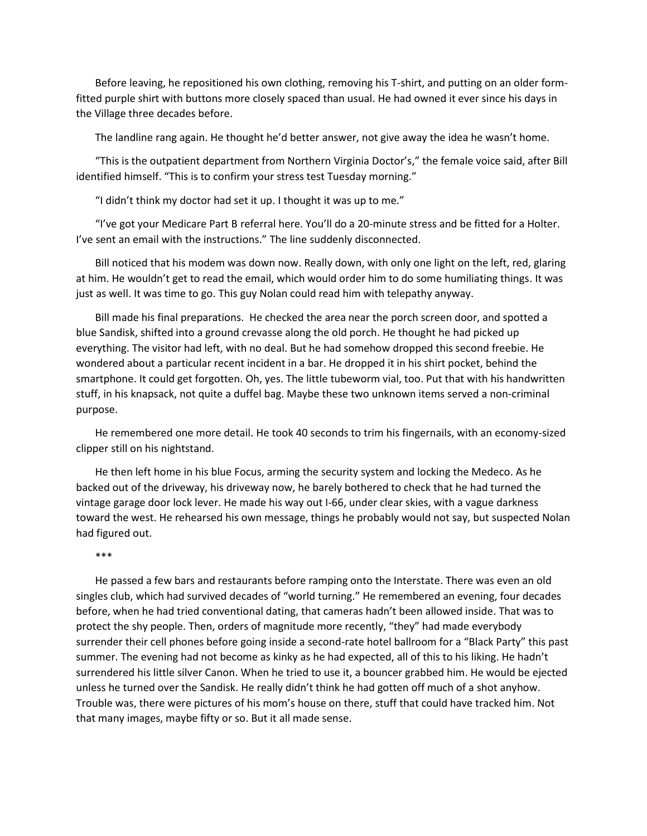Before leaving, he repositioned his own clothing, removing his T-shirt, and putting on an older formfitted purple shirt with buttons more closely spaced than usual. He had owned it ever since his days in the Village three decades before.

The landline rang again. He thought he'd better answer, not give away the idea he wasn't home.

"This is the outpatient department from Northern Virginia Doctor's," the female voice said, after Bill identified himself. "This is to confirm your stress test Tuesday morning."

"I didn't think my doctor had set it up. I thought it was up to me."

"I've got your Medicare Part B referral here. You'll do a 20-minute stress and be fitted for a Holter. I've sent an email with the instructions." The line suddenly disconnected.

Bill noticed that his modem was down now. Really down, with only one light on the left, red, glaring at him. He wouldn't get to read the email, which would order him to do some humiliating things. It was just as well. It was time to go. This guy Nolan could read him with telepathy anyway.

Bill made his final preparations. He checked the area near the porch screen door, and spotted a blue Sandisk, shifted into a ground crevasse along the old porch. He thought he had picked up everything. The visitor had left, with no deal. But he had somehow dropped this second freebie. He wondered about a particular recent incident in a bar. He dropped it in his shirt pocket, behind the smartphone. It could get forgotten. Oh, yes. The little tubeworm vial, too. Put that with his handwritten stuff, in his knapsack, not quite a duffel bag. Maybe these two unknown items served a non-criminal purpose.

He remembered one more detail. He took 40 seconds to trim his fingernails, with an economy-sized clipper still on his nightstand.

He then left home in his blue Focus, arming the security system and locking the Medeco. As he backed out of the driveway, his driveway now, he barely bothered to check that he had turned the vintage garage door lock lever. He made his way out I-66, under clear skies, with a vague darkness toward the west. He rehearsed his own message, things he probably would not say, but suspected Nolan had figured out.

#### \*\*\*

He passed a few bars and restaurants before ramping onto the Interstate. There was even an old singles club, which had survived decades of "world turning." He remembered an evening, four decades before, when he had tried conventional dating, that cameras hadn't been allowed inside. That was to protect the shy people. Then, orders of magnitude more recently, "they" had made everybody surrender their cell phones before going inside a second-rate hotel ballroom for a "Black Party" this past summer. The evening had not become as kinky as he had expected, all of this to his liking. He hadn't surrendered his little silver Canon. When he tried to use it, a bouncer grabbed him. He would be ejected unless he turned over the Sandisk. He really didn't think he had gotten off much of a shot anyhow. Trouble was, there were pictures of his mom's house on there, stuff that could have tracked him. Not that many images, maybe fifty or so. But it all made sense.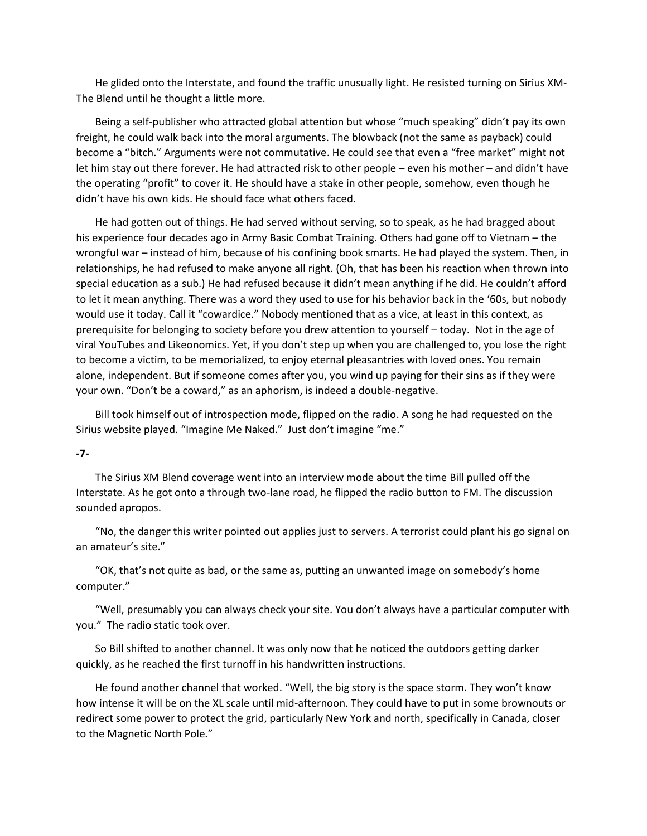He glided onto the Interstate, and found the traffic unusually light. He resisted turning on Sirius XM-The Blend until he thought a little more.

Being a self-publisher who attracted global attention but whose "much speaking" didn't pay its own freight, he could walk back into the moral arguments. The blowback (not the same as payback) could become a "bitch." Arguments were not commutative. He could see that even a "free market" might not let him stay out there forever. He had attracted risk to other people – even his mother – and didn't have the operating "profit" to cover it. He should have a stake in other people, somehow, even though he didn't have his own kids. He should face what others faced.

He had gotten out of things. He had served without serving, so to speak, as he had bragged about his experience four decades ago in Army Basic Combat Training. Others had gone off to Vietnam – the wrongful war – instead of him, because of his confining book smarts. He had played the system. Then, in relationships, he had refused to make anyone all right. (Oh, that has been his reaction when thrown into special education as a sub.) He had refused because it didn't mean anything if he did. He couldn't afford to let it mean anything. There was a word they used to use for his behavior back in the '60s, but nobody would use it today. Call it "cowardice." Nobody mentioned that as a vice, at least in this context, as prerequisite for belonging to society before you drew attention to yourself – today. Not in the age of viral YouTubes and Likeonomics. Yet, if you don't step up when you are challenged to, you lose the right to become a victim, to be memorialized, to enjoy eternal pleasantries with loved ones. You remain alone, independent. But if someone comes after you, you wind up paying for their sins as if they were your own. "Don't be a coward," as an aphorism, is indeed a double-negative.

Bill took himself out of introspection mode, flipped on the radio. A song he had requested on the Sirius website played. "Imagine Me Naked." Just don't imagine "me."

### **-7-**

The Sirius XM Blend coverage went into an interview mode about the time Bill pulled off the Interstate. As he got onto a through two-lane road, he flipped the radio button to FM. The discussion sounded apropos.

"No, the danger this writer pointed out applies just to servers. A terrorist could plant his go signal on an amateur's site."

"OK, that's not quite as bad, or the same as, putting an unwanted image on somebody's home computer."

"Well, presumably you can always check your site. You don't always have a particular computer with you." The radio static took over.

So Bill shifted to another channel. It was only now that he noticed the outdoors getting darker quickly, as he reached the first turnoff in his handwritten instructions.

He found another channel that worked. "Well, the big story is the space storm. They won't know how intense it will be on the XL scale until mid-afternoon. They could have to put in some brownouts or redirect some power to protect the grid, particularly New York and north, specifically in Canada, closer to the Magnetic North Pole."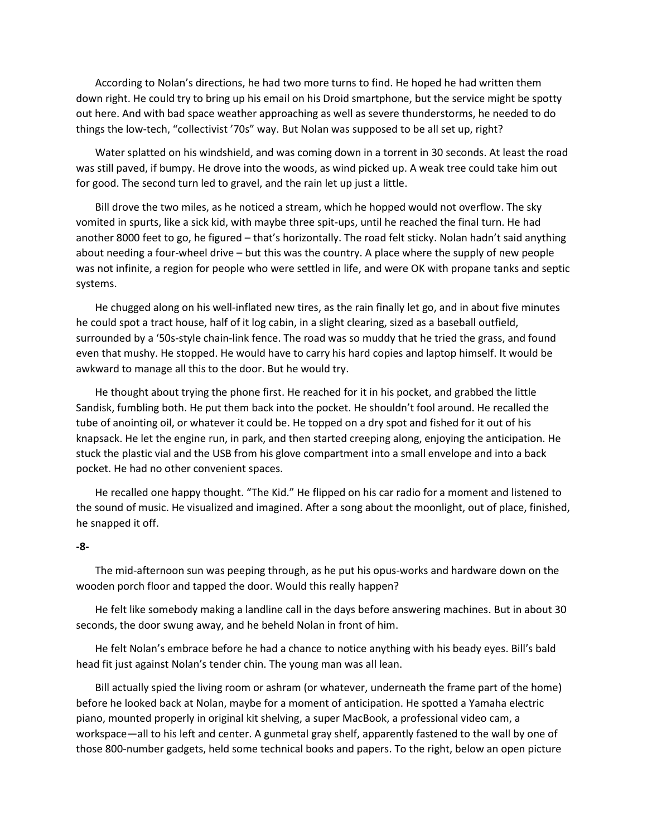According to Nolan's directions, he had two more turns to find. He hoped he had written them down right. He could try to bring up his email on his Droid smartphone, but the service might be spotty out here. And with bad space weather approaching as well as severe thunderstorms, he needed to do things the low-tech, "collectivist '70s" way. But Nolan was supposed to be all set up, right?

Water splatted on his windshield, and was coming down in a torrent in 30 seconds. At least the road was still paved, if bumpy. He drove into the woods, as wind picked up. A weak tree could take him out for good. The second turn led to gravel, and the rain let up just a little.

Bill drove the two miles, as he noticed a stream, which he hopped would not overflow. The sky vomited in spurts, like a sick kid, with maybe three spit-ups, until he reached the final turn. He had another 8000 feet to go, he figured – that's horizontally. The road felt sticky. Nolan hadn't said anything about needing a four-wheel drive – but this was the country. A place where the supply of new people was not infinite, a region for people who were settled in life, and were OK with propane tanks and septic systems.

He chugged along on his well-inflated new tires, as the rain finally let go, and in about five minutes he could spot a tract house, half of it log cabin, in a slight clearing, sized as a baseball outfield, surrounded by a '50s-style chain-link fence. The road was so muddy that he tried the grass, and found even that mushy. He stopped. He would have to carry his hard copies and laptop himself. It would be awkward to manage all this to the door. But he would try.

He thought about trying the phone first. He reached for it in his pocket, and grabbed the little Sandisk, fumbling both. He put them back into the pocket. He shouldn't fool around. He recalled the tube of anointing oil, or whatever it could be. He topped on a dry spot and fished for it out of his knapsack. He let the engine run, in park, and then started creeping along, enjoying the anticipation. He stuck the plastic vial and the USB from his glove compartment into a small envelope and into a back pocket. He had no other convenient spaces.

He recalled one happy thought. "The Kid." He flipped on his car radio for a moment and listened to the sound of music. He visualized and imagined. After a song about the moonlight, out of place, finished, he snapped it off.

### **-8-**

The mid-afternoon sun was peeping through, as he put his opus-works and hardware down on the wooden porch floor and tapped the door. Would this really happen?

He felt like somebody making a landline call in the days before answering machines. But in about 30 seconds, the door swung away, and he beheld Nolan in front of him.

He felt Nolan's embrace before he had a chance to notice anything with his beady eyes. Bill's bald head fit just against Nolan's tender chin. The young man was all lean.

Bill actually spied the living room or ashram (or whatever, underneath the frame part of the home) before he looked back at Nolan, maybe for a moment of anticipation. He spotted a Yamaha electric piano, mounted properly in original kit shelving, a super MacBook, a professional video cam, a workspace—all to his left and center. A gunmetal gray shelf, apparently fastened to the wall by one of those 800-number gadgets, held some technical books and papers. To the right, below an open picture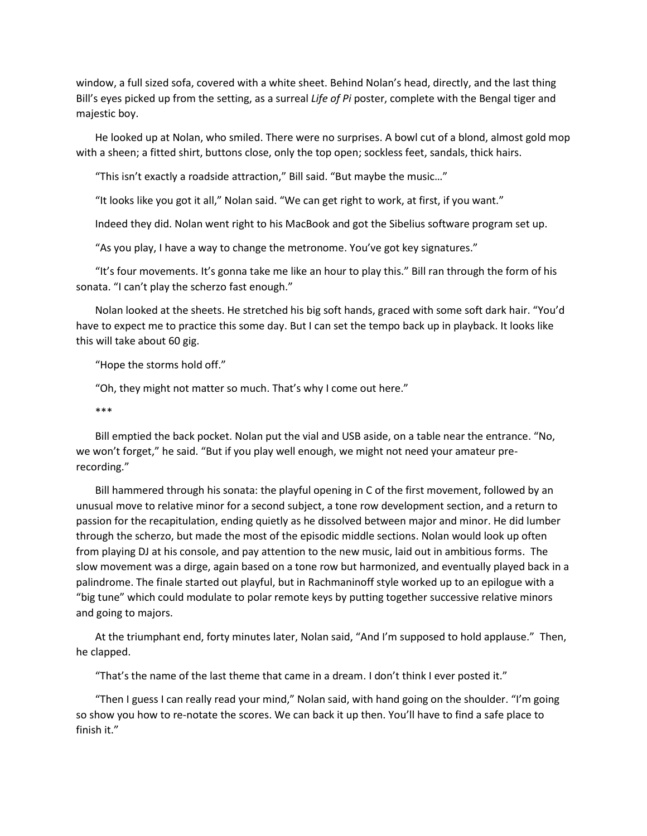window, a full sized sofa, covered with a white sheet. Behind Nolan's head, directly, and the last thing Bill's eyes picked up from the setting, as a surreal *Life of Pi* poster, complete with the Bengal tiger and majestic boy.

He looked up at Nolan, who smiled. There were no surprises. A bowl cut of a blond, almost gold mop with a sheen; a fitted shirt, buttons close, only the top open; sockless feet, sandals, thick hairs.

"This isn't exactly a roadside attraction," Bill said. "But maybe the music…"

"It looks like you got it all," Nolan said. "We can get right to work, at first, if you want."

Indeed they did. Nolan went right to his MacBook and got the Sibelius software program set up.

"As you play, I have a way to change the metronome. You've got key signatures."

"It's four movements. It's gonna take me like an hour to play this." Bill ran through the form of his sonata. "I can't play the scherzo fast enough."

Nolan looked at the sheets. He stretched his big soft hands, graced with some soft dark hair. "You'd have to expect me to practice this some day. But I can set the tempo back up in playback. It looks like this will take about 60 gig.

"Hope the storms hold off."

"Oh, they might not matter so much. That's why I come out here."

\*\*\*

Bill emptied the back pocket. Nolan put the vial and USB aside, on a table near the entrance. "No, we won't forget," he said. "But if you play well enough, we might not need your amateur prerecording."

Bill hammered through his sonata: the playful opening in C of the first movement, followed by an unusual move to relative minor for a second subject, a tone row development section, and a return to passion for the recapitulation, ending quietly as he dissolved between major and minor. He did lumber through the scherzo, but made the most of the episodic middle sections. Nolan would look up often from playing DJ at his console, and pay attention to the new music, laid out in ambitious forms. The slow movement was a dirge, again based on a tone row but harmonized, and eventually played back in a palindrome. The finale started out playful, but in Rachmaninoff style worked up to an epilogue with a "big tune" which could modulate to polar remote keys by putting together successive relative minors and going to majors.

At the triumphant end, forty minutes later, Nolan said, "And I'm supposed to hold applause." Then, he clapped.

"That's the name of the last theme that came in a dream. I don't think I ever posted it."

"Then I guess I can really read your mind," Nolan said, with hand going on the shoulder. "I'm going so show you how to re-notate the scores. We can back it up then. You'll have to find a safe place to finish it."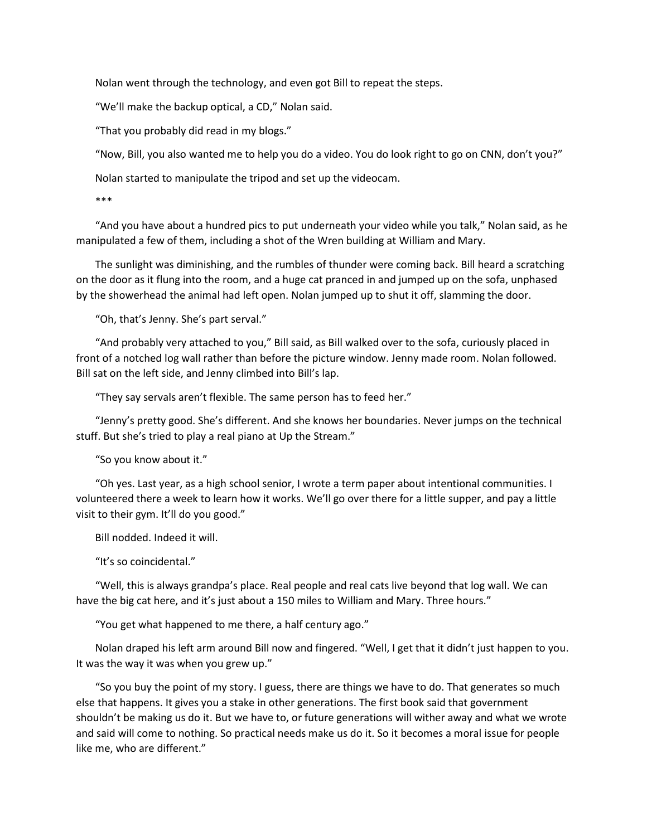Nolan went through the technology, and even got Bill to repeat the steps.

"We'll make the backup optical, a CD," Nolan said.

"That you probably did read in my blogs."

"Now, Bill, you also wanted me to help you do a video. You do look right to go on CNN, don't you?"

Nolan started to manipulate the tripod and set up the videocam.

\*\*\*

"And you have about a hundred pics to put underneath your video while you talk," Nolan said, as he manipulated a few of them, including a shot of the Wren building at William and Mary.

The sunlight was diminishing, and the rumbles of thunder were coming back. Bill heard a scratching on the door as it flung into the room, and a huge cat pranced in and jumped up on the sofa, unphased by the showerhead the animal had left open. Nolan jumped up to shut it off, slamming the door.

"Oh, that's Jenny. She's part serval."

"And probably very attached to you," Bill said, as Bill walked over to the sofa, curiously placed in front of a notched log wall rather than before the picture window. Jenny made room. Nolan followed. Bill sat on the left side, and Jenny climbed into Bill's lap.

"They say servals aren't flexible. The same person has to feed her."

"Jenny's pretty good. She's different. And she knows her boundaries. Never jumps on the technical stuff. But she's tried to play a real piano at Up the Stream."

"So you know about it."

"Oh yes. Last year, as a high school senior, I wrote a term paper about intentional communities. I volunteered there a week to learn how it works. We'll go over there for a little supper, and pay a little visit to their gym. It'll do you good."

Bill nodded. Indeed it will.

"It's so coincidental."

"Well, this is always grandpa's place. Real people and real cats live beyond that log wall. We can have the big cat here, and it's just about a 150 miles to William and Mary. Three hours."

"You get what happened to me there, a half century ago."

Nolan draped his left arm around Bill now and fingered. "Well, I get that it didn't just happen to you. It was the way it was when you grew up."

"So you buy the point of my story. I guess, there are things we have to do. That generates so much else that happens. It gives you a stake in other generations. The first book said that government shouldn't be making us do it. But we have to, or future generations will wither away and what we wrote and said will come to nothing. So practical needs make us do it. So it becomes a moral issue for people like me, who are different."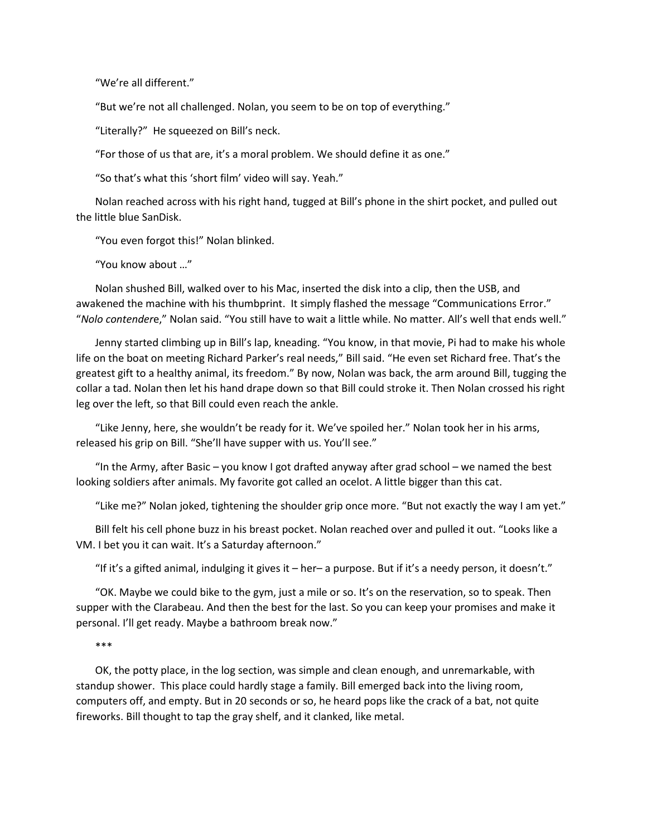"We're all different."

"But we're not all challenged. Nolan, you seem to be on top of everything."

"Literally?" He squeezed on Bill's neck.

"For those of us that are, it's a moral problem. We should define it as one."

"So that's what this 'short film' video will say. Yeah."

Nolan reached across with his right hand, tugged at Bill's phone in the shirt pocket, and pulled out the little blue SanDisk.

"You even forgot this!" Nolan blinked.

"You know about …"

Nolan shushed Bill, walked over to his Mac, inserted the disk into a clip, then the USB, and awakened the machine with his thumbprint. It simply flashed the message "Communications Error." "*Nolo contender*e," Nolan said. "You still have to wait a little while. No matter. All's well that ends well."

Jenny started climbing up in Bill's lap, kneading. "You know, in that movie, Pi had to make his whole life on the boat on meeting Richard Parker's real needs," Bill said. "He even set Richard free. That's the greatest gift to a healthy animal, its freedom." By now, Nolan was back, the arm around Bill, tugging the collar a tad. Nolan then let his hand drape down so that Bill could stroke it. Then Nolan crossed his right leg over the left, so that Bill could even reach the ankle.

"Like Jenny, here, she wouldn't be ready for it. We've spoiled her." Nolan took her in his arms, released his grip on Bill. "She'll have supper with us. You'll see."

"In the Army, after Basic – you know I got drafted anyway after grad school – we named the best looking soldiers after animals. My favorite got called an ocelot. A little bigger than this cat.

"Like me?" Nolan joked, tightening the shoulder grip once more. "But not exactly the way I am yet."

Bill felt his cell phone buzz in his breast pocket. Nolan reached over and pulled it out. "Looks like a VM. I bet you it can wait. It's a Saturday afternoon."

"If it's a gifted animal, indulging it gives it – her– a purpose. But if it's a needy person, it doesn't."

"OK. Maybe we could bike to the gym, just a mile or so. It's on the reservation, so to speak. Then supper with the Clarabeau. And then the best for the last. So you can keep your promises and make it personal. I'll get ready. Maybe a bathroom break now."

\*\*\*

OK, the potty place, in the log section, was simple and clean enough, and unremarkable, with standup shower. This place could hardly stage a family. Bill emerged back into the living room, computers off, and empty. But in 20 seconds or so, he heard pops like the crack of a bat, not quite fireworks. Bill thought to tap the gray shelf, and it clanked, like metal.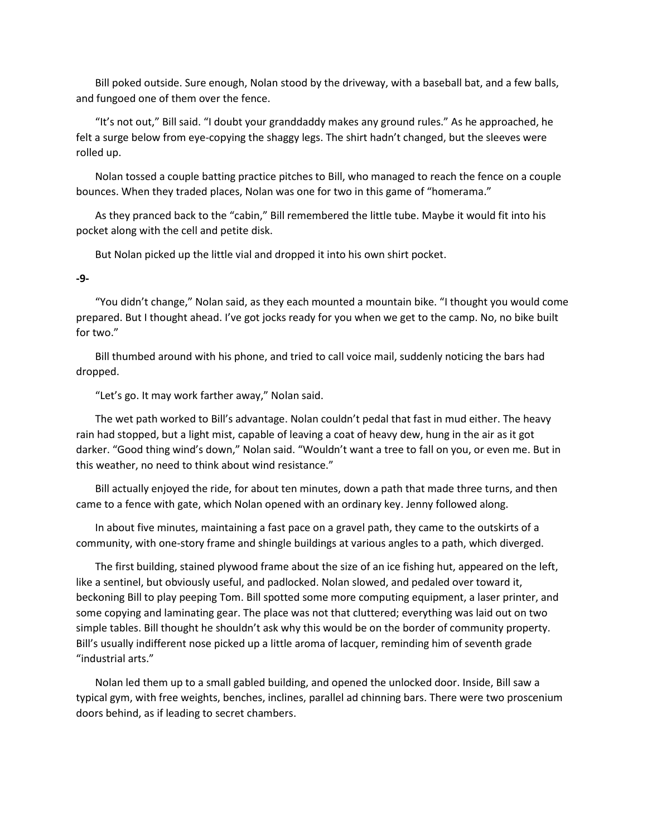Bill poked outside. Sure enough, Nolan stood by the driveway, with a baseball bat, and a few balls, and fungoed one of them over the fence.

"It's not out," Bill said. "I doubt your granddaddy makes any ground rules." As he approached, he felt a surge below from eye-copying the shaggy legs. The shirt hadn't changed, but the sleeves were rolled up.

Nolan tossed a couple batting practice pitches to Bill, who managed to reach the fence on a couple bounces. When they traded places, Nolan was one for two in this game of "homerama."

As they pranced back to the "cabin," Bill remembered the little tube. Maybe it would fit into his pocket along with the cell and petite disk.

But Nolan picked up the little vial and dropped it into his own shirt pocket.

### **-9-**

"You didn't change," Nolan said, as they each mounted a mountain bike. "I thought you would come prepared. But I thought ahead. I've got jocks ready for you when we get to the camp. No, no bike built for two."

Bill thumbed around with his phone, and tried to call voice mail, suddenly noticing the bars had dropped.

"Let's go. It may work farther away," Nolan said.

The wet path worked to Bill's advantage. Nolan couldn't pedal that fast in mud either. The heavy rain had stopped, but a light mist, capable of leaving a coat of heavy dew, hung in the air as it got darker. "Good thing wind's down," Nolan said. "Wouldn't want a tree to fall on you, or even me. But in this weather, no need to think about wind resistance."

Bill actually enjoyed the ride, for about ten minutes, down a path that made three turns, and then came to a fence with gate, which Nolan opened with an ordinary key. Jenny followed along.

In about five minutes, maintaining a fast pace on a gravel path, they came to the outskirts of a community, with one-story frame and shingle buildings at various angles to a path, which diverged.

The first building, stained plywood frame about the size of an ice fishing hut, appeared on the left, like a sentinel, but obviously useful, and padlocked. Nolan slowed, and pedaled over toward it, beckoning Bill to play peeping Tom. Bill spotted some more computing equipment, a laser printer, and some copying and laminating gear. The place was not that cluttered; everything was laid out on two simple tables. Bill thought he shouldn't ask why this would be on the border of community property. Bill's usually indifferent nose picked up a little aroma of lacquer, reminding him of seventh grade "industrial arts."

Nolan led them up to a small gabled building, and opened the unlocked door. Inside, Bill saw a typical gym, with free weights, benches, inclines, parallel ad chinning bars. There were two proscenium doors behind, as if leading to secret chambers.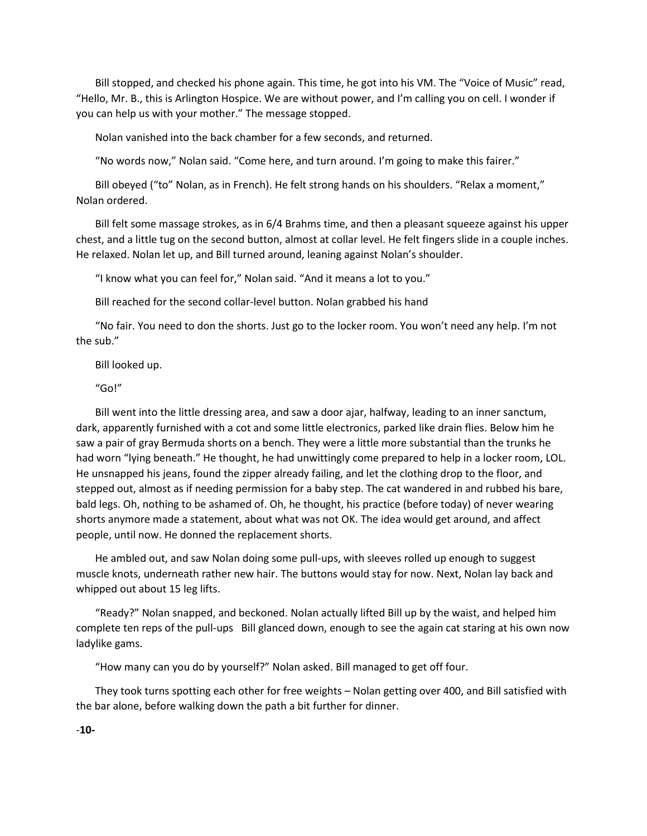Bill stopped, and checked his phone again. This time, he got into his VM. The "Voice of Music" read, "Hello, Mr. B., this is Arlington Hospice. We are without power, and I'm calling you on cell. I wonder if you can help us with your mother." The message stopped.

Nolan vanished into the back chamber for a few seconds, and returned.

"No words now," Nolan said. "Come here, and turn around. I'm going to make this fairer."

Bill obeyed ("to" Nolan, as in French). He felt strong hands on his shoulders. "Relax a moment," Nolan ordered.

Bill felt some massage strokes, as in 6/4 Brahms time, and then a pleasant squeeze against his upper chest, and a little tug on the second button, almost at collar level. He felt fingers slide in a couple inches. He relaxed. Nolan let up, and Bill turned around, leaning against Nolan's shoulder.

"I know what you can feel for," Nolan said. "And it means a lot to you."

Bill reached for the second collar-level button. Nolan grabbed his hand

"No fair. You need to don the shorts. Just go to the locker room. You won't need any help. I'm not the sub."

Bill looked up.

"Go!"

Bill went into the little dressing area, and saw a door ajar, halfway, leading to an inner sanctum, dark, apparently furnished with a cot and some little electronics, parked like drain flies. Below him he saw a pair of gray Bermuda shorts on a bench. They were a little more substantial than the trunks he had worn "lying beneath." He thought, he had unwittingly come prepared to help in a locker room, LOL. He unsnapped his jeans, found the zipper already failing, and let the clothing drop to the floor, and stepped out, almost as if needing permission for a baby step. The cat wandered in and rubbed his bare, bald legs. Oh, nothing to be ashamed of. Oh, he thought, his practice (before today) of never wearing shorts anymore made a statement, about what was not OK. The idea would get around, and affect people, until now. He donned the replacement shorts.

He ambled out, and saw Nolan doing some pull-ups, with sleeves rolled up enough to suggest muscle knots, underneath rather new hair. The buttons would stay for now. Next, Nolan lay back and whipped out about 15 leg lifts.

"Ready?" Nolan snapped, and beckoned. Nolan actually lifted Bill up by the waist, and helped him complete ten reps of the pull-ups Bill glanced down, enough to see the again cat staring at his own now ladylike gams.

"How many can you do by yourself?" Nolan asked. Bill managed to get off four.

They took turns spotting each other for free weights – Nolan getting over 400, and Bill satisfied with the bar alone, before walking down the path a bit further for dinner.

-**10-**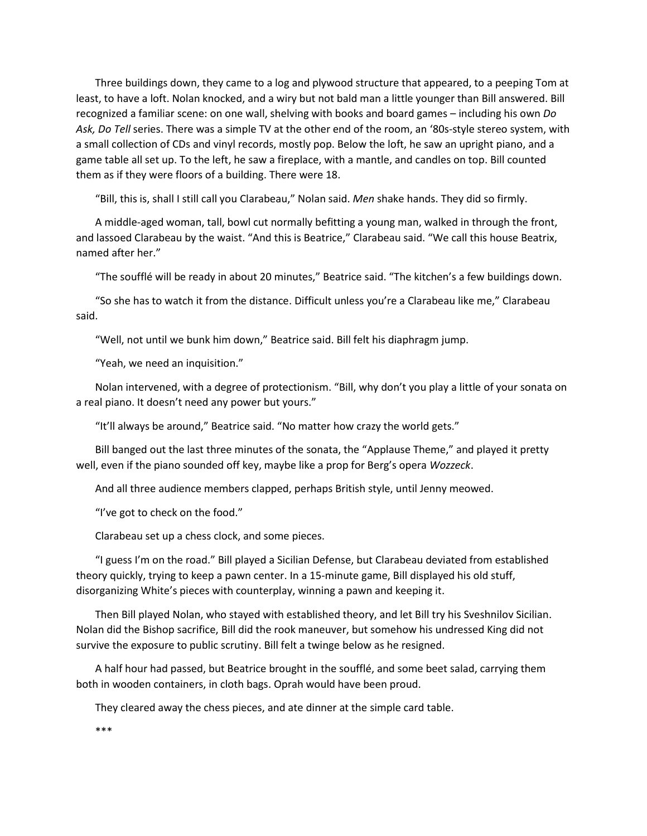Three buildings down, they came to a log and plywood structure that appeared, to a peeping Tom at least, to have a loft. Nolan knocked, and a wiry but not bald man a little younger than Bill answered. Bill recognized a familiar scene: on one wall, shelving with books and board games – including his own *Do Ask, Do Tell* series. There was a simple TV at the other end of the room, an '80s-style stereo system, with a small collection of CDs and vinyl records, mostly pop. Below the loft, he saw an upright piano, and a game table all set up. To the left, he saw a fireplace, with a mantle, and candles on top. Bill counted them as if they were floors of a building. There were 18.

"Bill, this is, shall I still call you Clarabeau," Nolan said. *Men* shake hands. They did so firmly.

A middle-aged woman, tall, bowl cut normally befitting a young man, walked in through the front, and lassoed Clarabeau by the waist. "And this is Beatrice," Clarabeau said. "We call this house Beatrix, named after her."

"The soufflé will be ready in about 20 minutes," Beatrice said. "The kitchen's a few buildings down.

"So she has to watch it from the distance. Difficult unless you're a Clarabeau like me," Clarabeau said.

"Well, not until we bunk him down," Beatrice said. Bill felt his diaphragm jump.

"Yeah, we need an inquisition."

Nolan intervened, with a degree of protectionism. "Bill, why don't you play a little of your sonata on a real piano. It doesn't need any power but yours."

"It'll always be around," Beatrice said. "No matter how crazy the world gets."

Bill banged out the last three minutes of the sonata, the "Applause Theme," and played it pretty well, even if the piano sounded off key, maybe like a prop for Berg's opera *Wozzeck*.

And all three audience members clapped, perhaps British style, until Jenny meowed.

"I've got to check on the food."

Clarabeau set up a chess clock, and some pieces.

"I guess I'm on the road." Bill played a Sicilian Defense, but Clarabeau deviated from established theory quickly, trying to keep a pawn center. In a 15-minute game, Bill displayed his old stuff, disorganizing White's pieces with counterplay, winning a pawn and keeping it.

Then Bill played Nolan, who stayed with established theory, and let Bill try his Sveshnilov Sicilian. Nolan did the Bishop sacrifice, Bill did the rook maneuver, but somehow his undressed King did not survive the exposure to public scrutiny. Bill felt a twinge below as he resigned.

A half hour had passed, but Beatrice brought in the soufflé, and some beet salad, carrying them both in wooden containers, in cloth bags. Oprah would have been proud.

They cleared away the chess pieces, and ate dinner at the simple card table.

\*\*\*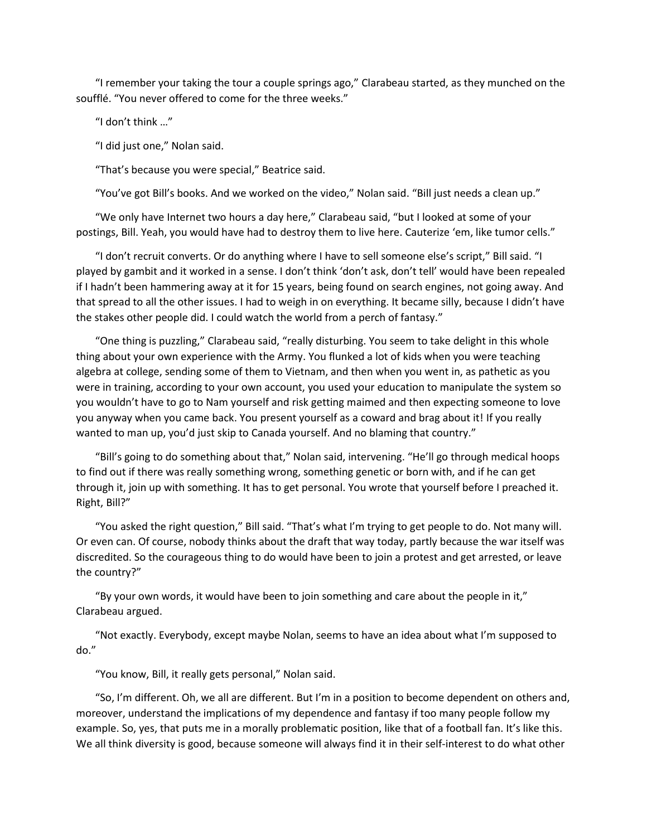"I remember your taking the tour a couple springs ago," Clarabeau started, as they munched on the soufflé. "You never offered to come for the three weeks."

"I don't think …"

"I did just one," Nolan said.

"That's because you were special," Beatrice said.

"You've got Bill's books. And we worked on the video," Nolan said. "Bill just needs a clean up."

"We only have Internet two hours a day here," Clarabeau said, "but I looked at some of your postings, Bill. Yeah, you would have had to destroy them to live here. Cauterize 'em, like tumor cells."

"I don't recruit converts. Or do anything where I have to sell someone else's script," Bill said. "I played by gambit and it worked in a sense. I don't think 'don't ask, don't tell' would have been repealed if I hadn't been hammering away at it for 15 years, being found on search engines, not going away. And that spread to all the other issues. I had to weigh in on everything. It became silly, because I didn't have the stakes other people did. I could watch the world from a perch of fantasy."

"One thing is puzzling," Clarabeau said, "really disturbing. You seem to take delight in this whole thing about your own experience with the Army. You flunked a lot of kids when you were teaching algebra at college, sending some of them to Vietnam, and then when you went in, as pathetic as you were in training, according to your own account, you used your education to manipulate the system so you wouldn't have to go to Nam yourself and risk getting maimed and then expecting someone to love you anyway when you came back. You present yourself as a coward and brag about it! If you really wanted to man up, you'd just skip to Canada yourself. And no blaming that country."

"Bill's going to do something about that," Nolan said, intervening. "He'll go through medical hoops to find out if there was really something wrong, something genetic or born with, and if he can get through it, join up with something. It has to get personal. You wrote that yourself before I preached it. Right, Bill?"

"You asked the right question," Bill said. "That's what I'm trying to get people to do. Not many will. Or even can. Of course, nobody thinks about the draft that way today, partly because the war itself was discredited. So the courageous thing to do would have been to join a protest and get arrested, or leave the country?"

"By your own words, it would have been to join something and care about the people in it," Clarabeau argued.

"Not exactly. Everybody, except maybe Nolan, seems to have an idea about what I'm supposed to do."

"You know, Bill, it really gets personal," Nolan said.

"So, I'm different. Oh, we all are different. But I'm in a position to become dependent on others and, moreover, understand the implications of my dependence and fantasy if too many people follow my example. So, yes, that puts me in a morally problematic position, like that of a football fan. It's like this. We all think diversity is good, because someone will always find it in their self-interest to do what other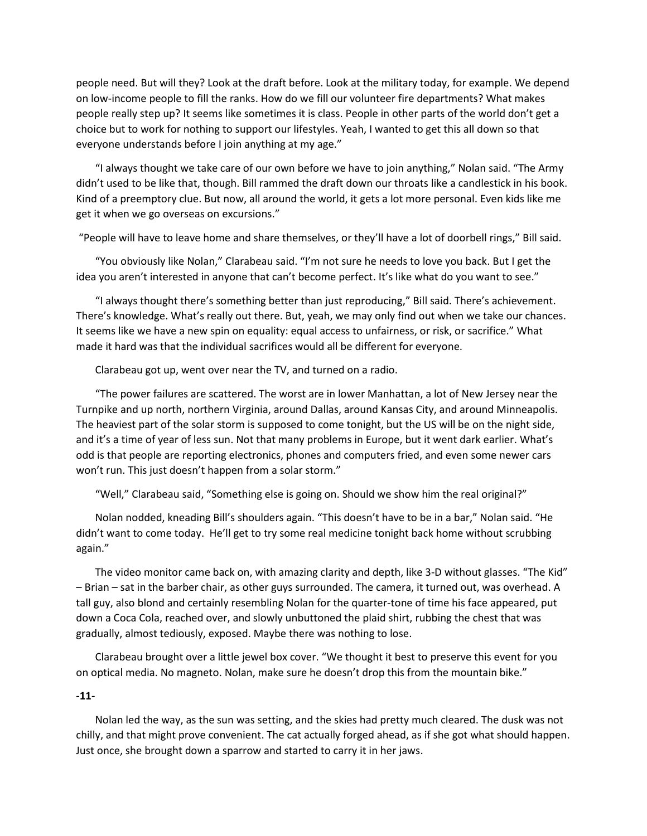people need. But will they? Look at the draft before. Look at the military today, for example. We depend on low-income people to fill the ranks. How do we fill our volunteer fire departments? What makes people really step up? It seems like sometimes it is class. People in other parts of the world don't get a choice but to work for nothing to support our lifestyles. Yeah, I wanted to get this all down so that everyone understands before I join anything at my age."

"I always thought we take care of our own before we have to join anything," Nolan said. "The Army didn't used to be like that, though. Bill rammed the draft down our throats like a candlestick in his book. Kind of a preemptory clue. But now, all around the world, it gets a lot more personal. Even kids like me get it when we go overseas on excursions."

"People will have to leave home and share themselves, or they'll have a lot of doorbell rings," Bill said.

"You obviously like Nolan," Clarabeau said. "I'm not sure he needs to love you back. But I get the idea you aren't interested in anyone that can't become perfect. It's like what do you want to see."

"I always thought there's something better than just reproducing," Bill said. There's achievement. There's knowledge. What's really out there. But, yeah, we may only find out when we take our chances. It seems like we have a new spin on equality: equal access to unfairness, or risk, or sacrifice." What made it hard was that the individual sacrifices would all be different for everyone.

Clarabeau got up, went over near the TV, and turned on a radio.

"The power failures are scattered. The worst are in lower Manhattan, a lot of New Jersey near the Turnpike and up north, northern Virginia, around Dallas, around Kansas City, and around Minneapolis. The heaviest part of the solar storm is supposed to come tonight, but the US will be on the night side, and it's a time of year of less sun. Not that many problems in Europe, but it went dark earlier. What's odd is that people are reporting electronics, phones and computers fried, and even some newer cars won't run. This just doesn't happen from a solar storm."

"Well," Clarabeau said, "Something else is going on. Should we show him the real original?"

Nolan nodded, kneading Bill's shoulders again. "This doesn't have to be in a bar," Nolan said. "He didn't want to come today. He'll get to try some real medicine tonight back home without scrubbing again."

The video monitor came back on, with amazing clarity and depth, like 3-D without glasses. "The Kid" – Brian – sat in the barber chair, as other guys surrounded. The camera, it turned out, was overhead. A tall guy, also blond and certainly resembling Nolan for the quarter-tone of time his face appeared, put down a Coca Cola, reached over, and slowly unbuttoned the plaid shirt, rubbing the chest that was gradually, almost tediously, exposed. Maybe there was nothing to lose.

Clarabeau brought over a little jewel box cover. "We thought it best to preserve this event for you on optical media. No magneto. Nolan, make sure he doesn't drop this from the mountain bike."

## **-11-**

Nolan led the way, as the sun was setting, and the skies had pretty much cleared. The dusk was not chilly, and that might prove convenient. The cat actually forged ahead, as if she got what should happen. Just once, she brought down a sparrow and started to carry it in her jaws.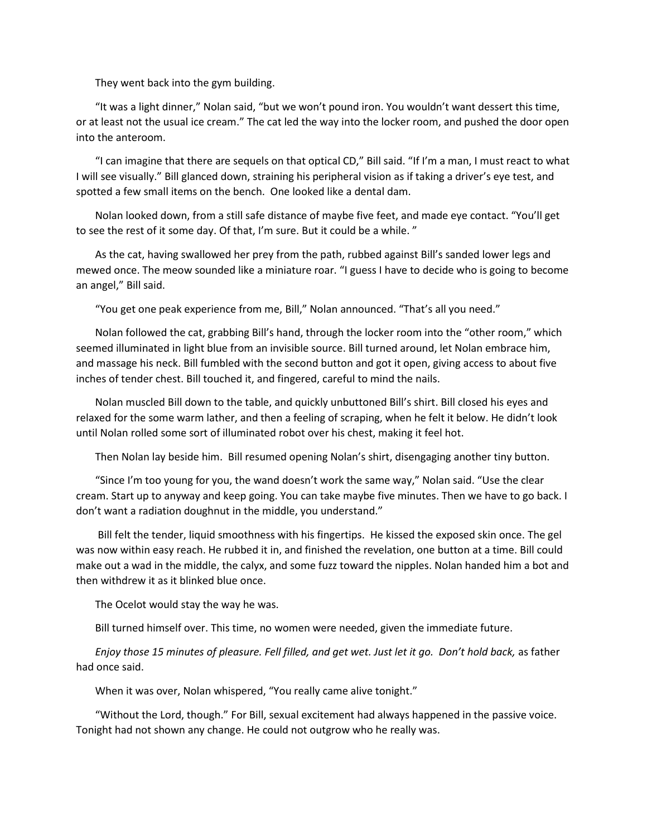They went back into the gym building.

"It was a light dinner," Nolan said, "but we won't pound iron. You wouldn't want dessert this time, or at least not the usual ice cream." The cat led the way into the locker room, and pushed the door open into the anteroom.

"I can imagine that there are sequels on that optical CD," Bill said. "If I'm a man, I must react to what I will see visually." Bill glanced down, straining his peripheral vision as if taking a driver's eye test, and spotted a few small items on the bench. One looked like a dental dam.

Nolan looked down, from a still safe distance of maybe five feet, and made eye contact. "You'll get to see the rest of it some day. Of that, I'm sure. But it could be a while. "

As the cat, having swallowed her prey from the path, rubbed against Bill's sanded lower legs and mewed once. The meow sounded like a miniature roar. "I guess I have to decide who is going to become an angel," Bill said.

"You get one peak experience from me, Bill," Nolan announced. "That's all you need."

Nolan followed the cat, grabbing Bill's hand, through the locker room into the "other room," which seemed illuminated in light blue from an invisible source. Bill turned around, let Nolan embrace him, and massage his neck. Bill fumbled with the second button and got it open, giving access to about five inches of tender chest. Bill touched it, and fingered, careful to mind the nails.

Nolan muscled Bill down to the table, and quickly unbuttoned Bill's shirt. Bill closed his eyes and relaxed for the some warm lather, and then a feeling of scraping, when he felt it below. He didn't look until Nolan rolled some sort of illuminated robot over his chest, making it feel hot.

Then Nolan lay beside him. Bill resumed opening Nolan's shirt, disengaging another tiny button.

"Since I'm too young for you, the wand doesn't work the same way," Nolan said. "Use the clear cream. Start up to anyway and keep going. You can take maybe five minutes. Then we have to go back. I don't want a radiation doughnut in the middle, you understand."

Bill felt the tender, liquid smoothness with his fingertips. He kissed the exposed skin once. The gel was now within easy reach. He rubbed it in, and finished the revelation, one button at a time. Bill could make out a wad in the middle, the calyx, and some fuzz toward the nipples. Nolan handed him a bot and then withdrew it as it blinked blue once.

The Ocelot would stay the way he was.

Bill turned himself over. This time, no women were needed, given the immediate future.

*Enjoy those 15 minutes of pleasure. Fell filled, and get wet. Just let it go. Don't hold back,* as father had once said.

When it was over, Nolan whispered, "You really came alive tonight."

"Without the Lord, though." For Bill, sexual excitement had always happened in the passive voice. Tonight had not shown any change. He could not outgrow who he really was.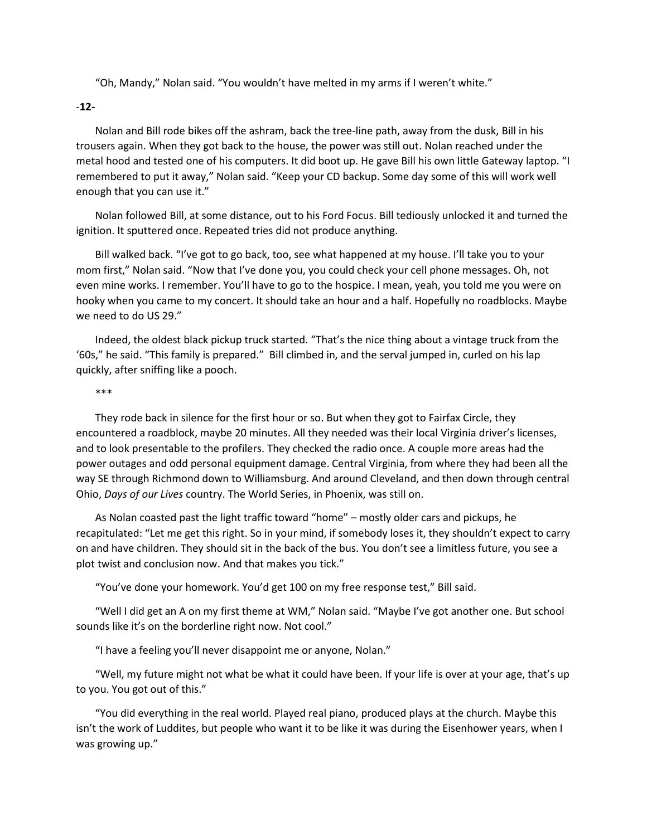"Oh, Mandy," Nolan said. "You wouldn't have melted in my arms if I weren't white."

-**12-**

Nolan and Bill rode bikes off the ashram, back the tree-line path, away from the dusk, Bill in his trousers again. When they got back to the house, the power was still out. Nolan reached under the metal hood and tested one of his computers. It did boot up. He gave Bill his own little Gateway laptop. "I remembered to put it away," Nolan said. "Keep your CD backup. Some day some of this will work well enough that you can use it."

Nolan followed Bill, at some distance, out to his Ford Focus. Bill tediously unlocked it and turned the ignition. It sputtered once. Repeated tries did not produce anything.

Bill walked back. "I've got to go back, too, see what happened at my house. I'll take you to your mom first," Nolan said. "Now that I've done you, you could check your cell phone messages. Oh, not even mine works. I remember. You'll have to go to the hospice. I mean, yeah, you told me you were on hooky when you came to my concert. It should take an hour and a half. Hopefully no roadblocks. Maybe we need to do US 29."

Indeed, the oldest black pickup truck started. "That's the nice thing about a vintage truck from the '60s," he said. "This family is prepared." Bill climbed in, and the serval jumped in, curled on his lap quickly, after sniffing like a pooch.

### \*\*\*

They rode back in silence for the first hour or so. But when they got to Fairfax Circle, they encountered a roadblock, maybe 20 minutes. All they needed was their local Virginia driver's licenses, and to look presentable to the profilers. They checked the radio once. A couple more areas had the power outages and odd personal equipment damage. Central Virginia, from where they had been all the way SE through Richmond down to Williamsburg. And around Cleveland, and then down through central Ohio, *Days of our Lives* country. The World Series, in Phoenix, was still on.

As Nolan coasted past the light traffic toward "home" – mostly older cars and pickups, he recapitulated: "Let me get this right. So in your mind, if somebody loses it, they shouldn't expect to carry on and have children. They should sit in the back of the bus. You don't see a limitless future, you see a plot twist and conclusion now. And that makes you tick."

"You've done your homework. You'd get 100 on my free response test," Bill said.

"Well I did get an A on my first theme at WM," Nolan said. "Maybe I've got another one. But school sounds like it's on the borderline right now. Not cool."

"I have a feeling you'll never disappoint me or anyone, Nolan."

"Well, my future might not what be what it could have been. If your life is over at your age, that's up to you. You got out of this."

"You did everything in the real world. Played real piano, produced plays at the church. Maybe this isn't the work of Luddites, but people who want it to be like it was during the Eisenhower years, when I was growing up."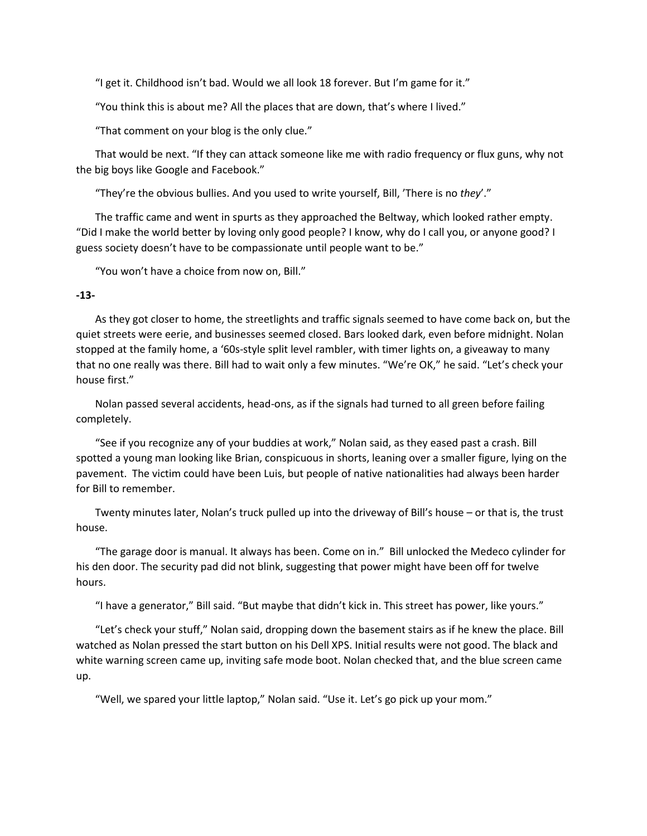"I get it. Childhood isn't bad. Would we all look 18 forever. But I'm game for it."

"You think this is about me? All the places that are down, that's where I lived."

"That comment on your blog is the only clue."

That would be next. "If they can attack someone like me with radio frequency or flux guns, why not the big boys like Google and Facebook."

"They're the obvious bullies. And you used to write yourself, Bill, 'There is no *they*'."

The traffic came and went in spurts as they approached the Beltway, which looked rather empty. "Did I make the world better by loving only good people? I know, why do I call you, or anyone good? I guess society doesn't have to be compassionate until people want to be."

"You won't have a choice from now on, Bill."

## **-13-**

As they got closer to home, the streetlights and traffic signals seemed to have come back on, but the quiet streets were eerie, and businesses seemed closed. Bars looked dark, even before midnight. Nolan stopped at the family home, a '60s-style split level rambler, with timer lights on, a giveaway to many that no one really was there. Bill had to wait only a few minutes. "We're OK," he said. "Let's check your house first."

Nolan passed several accidents, head-ons, as if the signals had turned to all green before failing completely.

"See if you recognize any of your buddies at work," Nolan said, as they eased past a crash. Bill spotted a young man looking like Brian, conspicuous in shorts, leaning over a smaller figure, lying on the pavement. The victim could have been Luis, but people of native nationalities had always been harder for Bill to remember.

Twenty minutes later, Nolan's truck pulled up into the driveway of Bill's house – or that is, the trust house.

"The garage door is manual. It always has been. Come on in." Bill unlocked the Medeco cylinder for his den door. The security pad did not blink, suggesting that power might have been off for twelve hours.

"I have a generator," Bill said. "But maybe that didn't kick in. This street has power, like yours."

"Let's check your stuff," Nolan said, dropping down the basement stairs as if he knew the place. Bill watched as Nolan pressed the start button on his Dell XPS. Initial results were not good. The black and white warning screen came up, inviting safe mode boot. Nolan checked that, and the blue screen came up.

"Well, we spared your little laptop," Nolan said. "Use it. Let's go pick up your mom."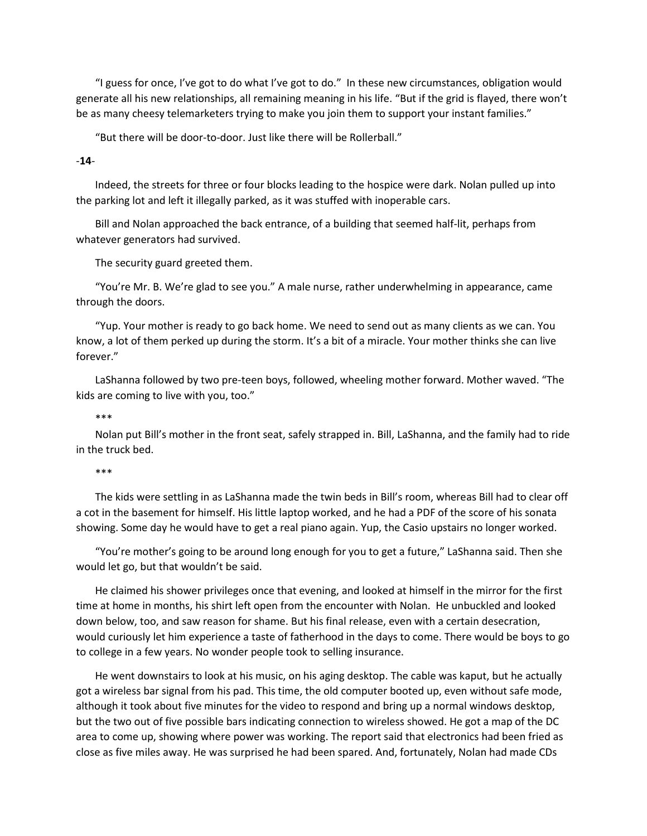"I guess for once, I've got to do what I've got to do." In these new circumstances, obligation would generate all his new relationships, all remaining meaning in his life. "But if the grid is flayed, there won't be as many cheesy telemarketers trying to make you join them to support your instant families."

"But there will be door-to-door. Just like there will be Rollerball."

-**14**-

Indeed, the streets for three or four blocks leading to the hospice were dark. Nolan pulled up into the parking lot and left it illegally parked, as it was stuffed with inoperable cars.

Bill and Nolan approached the back entrance, of a building that seemed half-lit, perhaps from whatever generators had survived.

The security guard greeted them.

"You're Mr. B. We're glad to see you." A male nurse, rather underwhelming in appearance, came through the doors.

"Yup. Your mother is ready to go back home. We need to send out as many clients as we can. You know, a lot of them perked up during the storm. It's a bit of a miracle. Your mother thinks she can live forever."

LaShanna followed by two pre-teen boys, followed, wheeling mother forward. Mother waved. "The kids are coming to live with you, too."

\*\*\*

Nolan put Bill's mother in the front seat, safely strapped in. Bill, LaShanna, and the family had to ride in the truck bed.

\*\*\*

The kids were settling in as LaShanna made the twin beds in Bill's room, whereas Bill had to clear off a cot in the basement for himself. His little laptop worked, and he had a PDF of the score of his sonata showing. Some day he would have to get a real piano again. Yup, the Casio upstairs no longer worked.

"You're mother's going to be around long enough for you to get a future," LaShanna said. Then she would let go, but that wouldn't be said.

He claimed his shower privileges once that evening, and looked at himself in the mirror for the first time at home in months, his shirt left open from the encounter with Nolan. He unbuckled and looked down below, too, and saw reason for shame. But his final release, even with a certain desecration, would curiously let him experience a taste of fatherhood in the days to come. There would be boys to go to college in a few years. No wonder people took to selling insurance.

He went downstairs to look at his music, on his aging desktop. The cable was kaput, but he actually got a wireless bar signal from his pad. This time, the old computer booted up, even without safe mode, although it took about five minutes for the video to respond and bring up a normal windows desktop, but the two out of five possible bars indicating connection to wireless showed. He got a map of the DC area to come up, showing where power was working. The report said that electronics had been fried as close as five miles away. He was surprised he had been spared. And, fortunately, Nolan had made CDs